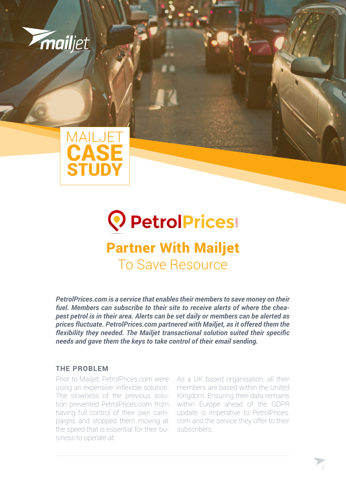



## **Q** PetrolPrices Partner With Mailjet To Save Resource

*PetrolPrices.com is a service that enables their members to save money on their fuel. Members can subscribe to their site to receive alerts of where the cheapest petrol is in their area. Alerts can be set daily or members can be alerted as prices fluctuate. PetrolPrices.com partnered with Mailjet, as it offered them the flexibility they needed. The Mailjet transactional solution suited their specific needs and gave them the keys to take control of their email sending.*

## **THE PROBLEM**

Prior to Mailjet, PetrolPrices.com were using an expensive, inflexible solution. The slowness of the previous solution prevented PetrolPrices.com from having full control of their own campaigns and stopped them moving at the speed that is essential for their business to operate at.

As a UK based organisation, all their members are based within the United Kingdom. Ensuring their data remains within Europe ahead of the GDPR update is imperative to PetrolPrices. com and the service they offer to their subscribers.